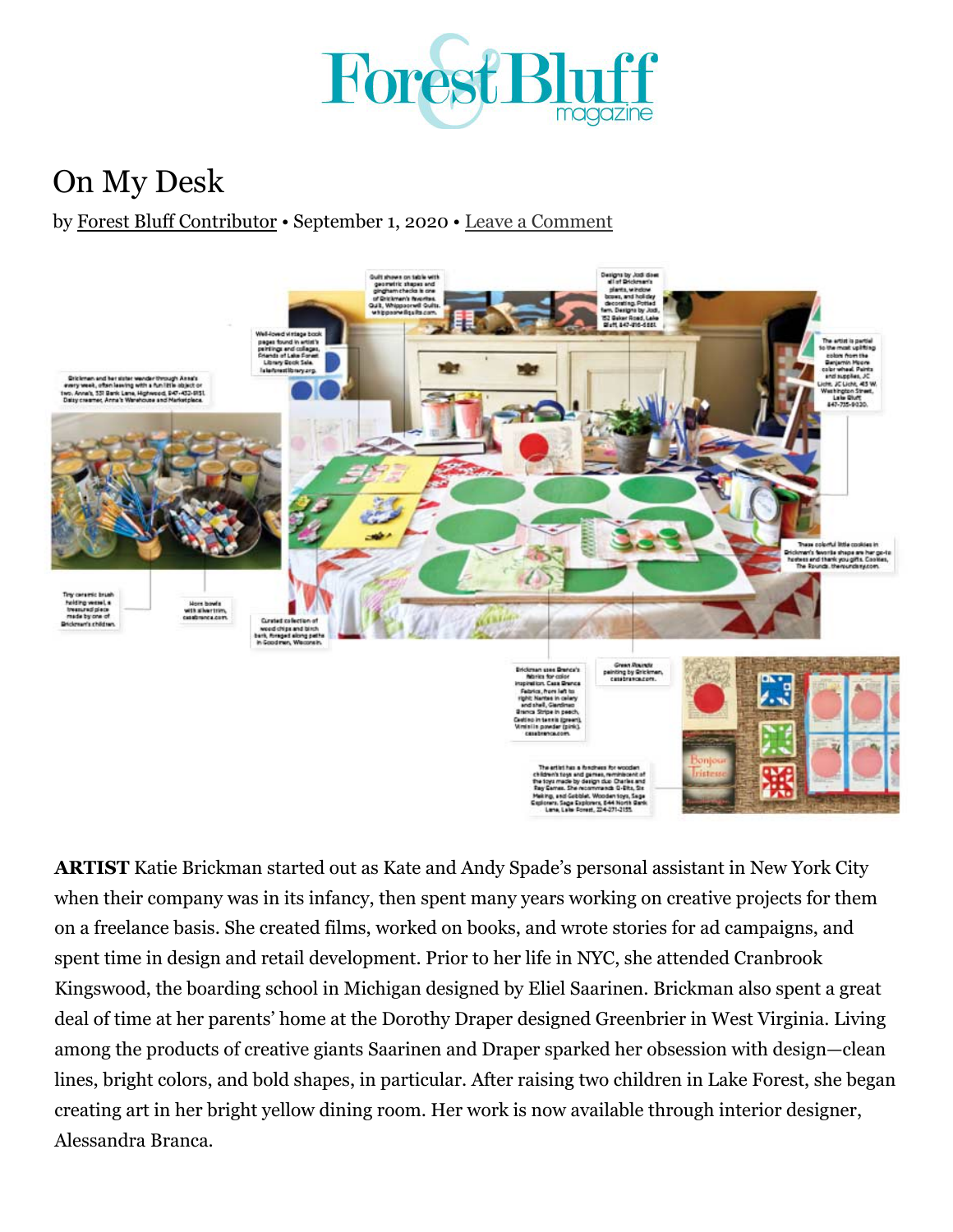

## [On](https://jwcdaily.com/forestbluffmagazine/2020/09/01/on-my-desk-3/#) My Desk

by [Forest Bluff Contributor](https://jwcdaily.com/forestbluffmagazine/author/fbcontributor/) • September 1, 2020 • Leave a Comment



**ARTIST** Katie Brickman started out as Kate and Andy Spade's personal assistant in New York City when their company was in its infancy, then spent many years working on creative projects for them on a freelance basis. She created films, worked on books, and wrote stories for ad campaigns, and spent time in design and retail development. Prior to her life in NYC, she attended Cranbrook Kingswood, the boarding school in Michigan designed by Eliel Saarinen. Brickman also spent a great deal of time at her parents' home at the Dorothy Draper designed Greenbrier in West Virginia. Living among the products of creative giants Saarinen and Draper sparked her obsession with design—clean lines, bright colors, and bold shapes, in particular. After raising two children in Lake Forest, she began creating art in her bright yellow dining room. Her work is now available through interior designer, Alessandra Branca.